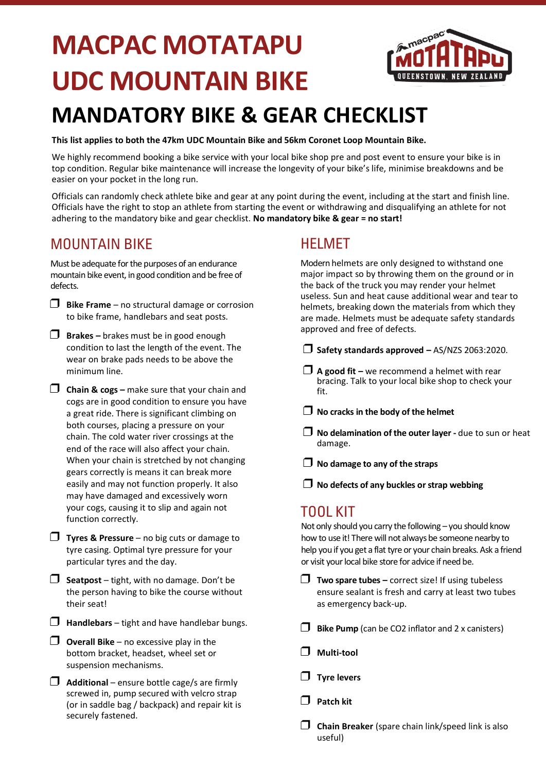# **MACPAC MOTATAPU UDC MOUNTAIN BIKE**



## **MANDATORY BIKE & GEAR CHECKLIST**

**This list applies to both the 47km UDC Mountain Bike and 56km Coronet Loop Mountain Bike.**

We highly recommend booking a bike service with your local bike shop pre and post event to ensure your bike is in top condition. Regular bike maintenance will increase the longevity of your bike's life, minimise breakdowns and be easier on your pocket in the long run.

Officials can randomly check athlete bike and gear at any point during the event, including at the start and finish line. Officials have the right to stop an athlete from starting the event or withdrawing and disqualifying an athlete for not adhering to the mandatory bike and gear checklist. **No mandatory bike & gear = no start!**

#### MOUNTAIN BIKE

Must be adequate for the purposes of an endurance mountain bike event, in good condition and be free of defects.

- ❒ **Bike Frame** no structural damage or corrosion to bike frame, handlebars and seat posts.
- ❒ **Brakes –** brakes must be in good enough condition to last the length of the event. The wear on brake pads needs to be above the minimum line.
- ❒ **Chain & cogs –** make sure that your chain and cogs are in good condition to ensure you have a great ride. There is significant climbing on both courses, placing a pressure on your chain. The cold water river crossings at the end of the race will also affect your chain. When your chain is stretched by not changing gears correctly is means it can break more easily and may not function properly. It also may have damaged and excessively worn your cogs, causing it to slip and again not function correctly.
- ❒ **Tyres & Pressure** no big cuts or damage to tyre casing. Optimal tyre pressure for your particular tyres and the day.
- ❒ **Seatpost** tight, with no damage. Don't be the person having to bike the course without their seat!
- ❒ **Handlebars** tight and have handlebar bungs.
- ❒ **Overall Bike** no excessive play in the bottom bracket, headset, wheel set or suspension mechanisms.
- ❒ **Additional** ensure bottle cage/s are firmly screwed in, pump secured with velcro strap (or in saddle bag / backpack) and repair kit is securely fastened.

#### HELMET

Modern helmets are only designed to withstand one major impact so by throwing them on the ground or in the back of the truck you may render your helmet useless. Sun and heat cause additional wear and tear to helmets, breaking down the materials from which they are made. Helmets must be adequate safety standards approved and free of defects.

❒ **Safety standards approved –** AS/NZS 2063:2020.

- ❒ **A good fit –** we recommend a helmet with rear bracing. Talk to your local bike shop to check your fit.
- ❒ **No cracks in the body of the helmet**
- ❒ **No delamination of the outer layer -** due to sun or heat damage.

❒ **No damage to any of the straps**

❒ **No defects of any buckles or strap webbing**

#### TOOL KIT

Not only should you carry the following – you should know how to use it! There will not always be someone nearby to help you if you get a flat tyre or your chain breaks. Ask a friend or visit your local bike store for advice if need be.

- ❒ **Two spare tubes –** correct size! If using tubeless ensure sealant is fresh and carry at least two tubes as emergency back-up.
- ❒ **Bike Pump** (can be CO2 inflator and 2 x canisters)
- ❒ **Multi-tool**
- ❒ **Tyre levers**
- ❒ **Patch kit**
- ❒ **Chain Breaker** (spare chain link/speed link is also useful)